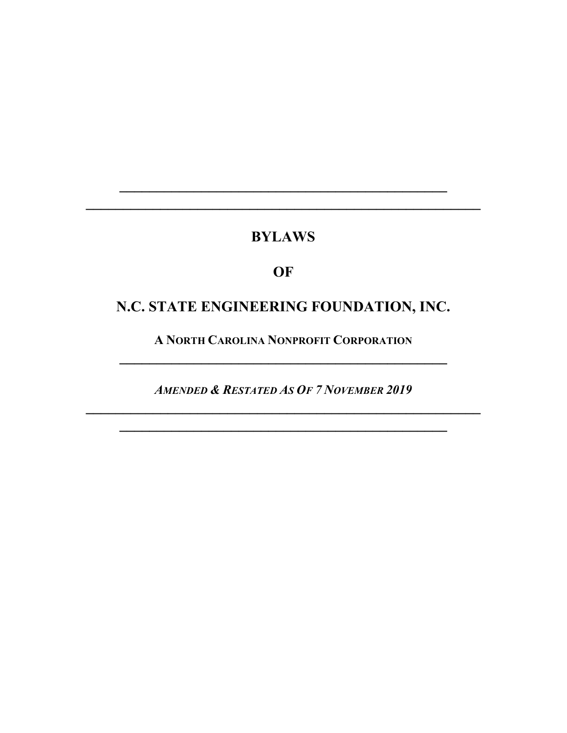## **BYLAWS**

**\_\_\_\_\_\_\_\_\_\_\_\_\_\_\_\_\_\_\_\_\_\_\_\_\_\_\_\_\_\_\_\_\_\_\_\_\_\_\_\_\_\_\_\_ \_\_\_\_\_\_\_\_\_\_\_\_\_\_\_\_\_\_\_\_\_\_\_\_\_\_\_\_\_\_\_\_\_\_\_\_\_\_\_\_\_\_\_\_\_\_\_\_\_\_\_\_\_**

## **OF**

## **N.C. STATE ENGINEERING FOUNDATION, INC.**

**A NORTH CAROLINA NONPROFIT CORPORATION \_\_\_\_\_\_\_\_\_\_\_\_\_\_\_\_\_\_\_\_\_\_\_\_\_\_\_\_\_\_\_\_\_\_\_\_\_\_\_\_\_\_\_\_**

*AMENDED & RESTATED AS OF 7 NOVEMBER 2019* **\_\_\_\_\_\_\_\_\_\_\_\_\_\_\_\_\_\_\_\_\_\_\_\_\_\_\_\_\_\_\_\_\_\_\_\_\_\_\_\_\_\_\_\_\_\_\_\_\_\_\_\_\_**

**\_\_\_\_\_\_\_\_\_\_\_\_\_\_\_\_\_\_\_\_\_\_\_\_\_\_\_\_\_\_\_\_\_\_\_\_\_\_\_\_\_\_\_\_**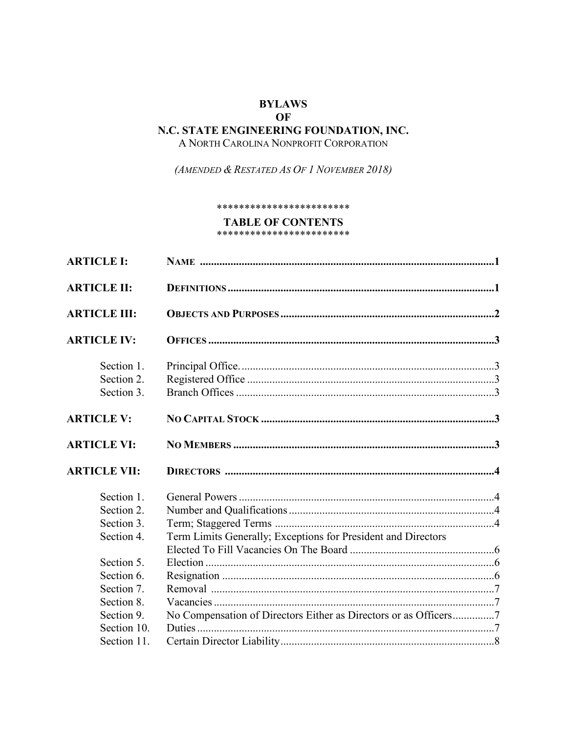#### **BYLAWS** OF N.C. STATE ENGINEERING FOUNDATION, INC. A NORTH CAROLINA NONPROFIT CORPORATION

(AMENDED & RESTATED AS OF 1 NOVEMBER 2018)

#### \*\*\*\*\*\*\*\*\*\*\*\*\*\*\*\*\*\*\*\*\*\*\*\*

#### **TABLE OF CONTENTS**

\*\*\*\*\*\*\*\*\*\*\*\*\*\*\*\*\*\*\*\*\*\*\*

| <b>ARTICLE I:</b>   |                                                                  |  |
|---------------------|------------------------------------------------------------------|--|
| <b>ARTICLE II:</b>  |                                                                  |  |
| <b>ARTICLE III:</b> |                                                                  |  |
| <b>ARTICLE IV:</b>  |                                                                  |  |
| Section 1.          |                                                                  |  |
| Section 2.          |                                                                  |  |
| Section 3.          |                                                                  |  |
| <b>ARTICLE V:</b>   |                                                                  |  |
| <b>ARTICLE VI:</b>  |                                                                  |  |
| <b>ARTICLE VII:</b> |                                                                  |  |
| Section 1.          |                                                                  |  |
| Section 2.          |                                                                  |  |
| Section 3.          |                                                                  |  |
| Section 4.          | Term Limits Generally; Exceptions for President and Directors    |  |
|                     |                                                                  |  |
| Section 5.          |                                                                  |  |
| Section 6.          |                                                                  |  |
| Section 7.          |                                                                  |  |
| Section 8.          |                                                                  |  |
| Section 9.          | No Compensation of Directors Either as Directors or as Officers7 |  |
| Section 10.         |                                                                  |  |
| Section 11.         |                                                                  |  |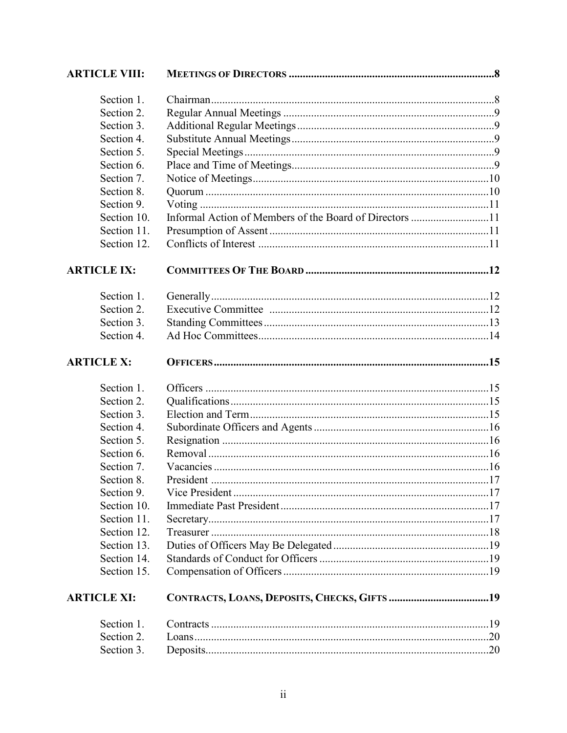| <b>ARTICLE VIII:</b> |                                                         |  |
|----------------------|---------------------------------------------------------|--|
| Section 1.           |                                                         |  |
| Section 2.           |                                                         |  |
| Section 3.           |                                                         |  |
| Section 4.           |                                                         |  |
| Section 5.           |                                                         |  |
| Section 6.           |                                                         |  |
| Section 7.           |                                                         |  |
| Section 8.           |                                                         |  |
| Section 9.           |                                                         |  |
| Section 10.          | Informal Action of Members of the Board of Directors 11 |  |
| Section 11.          |                                                         |  |
| Section 12.          |                                                         |  |
| <b>ARTICLE IX:</b>   |                                                         |  |
| Section 1.           |                                                         |  |
| Section 2.           |                                                         |  |
| Section 3.           |                                                         |  |
| Section 4.           |                                                         |  |
| <b>ARTICLE X:</b>    |                                                         |  |
| Section 1.           |                                                         |  |
| Section 2.           |                                                         |  |
| Section 3.           |                                                         |  |
| Section 4.           |                                                         |  |
| Section 5.           |                                                         |  |
| Section 6.           |                                                         |  |
| Section 7.           |                                                         |  |
| Section 8.           |                                                         |  |
| Section 9.           |                                                         |  |
| Section 10.          |                                                         |  |
| Section 11.          |                                                         |  |
| Section 12.          |                                                         |  |
| Section 13.          |                                                         |  |
| Section 14.          |                                                         |  |
| Section 15.          |                                                         |  |
| <b>ARTICLE XI:</b>   |                                                         |  |
| Section 1.           |                                                         |  |
| Section 2.           |                                                         |  |
| Section 3.           |                                                         |  |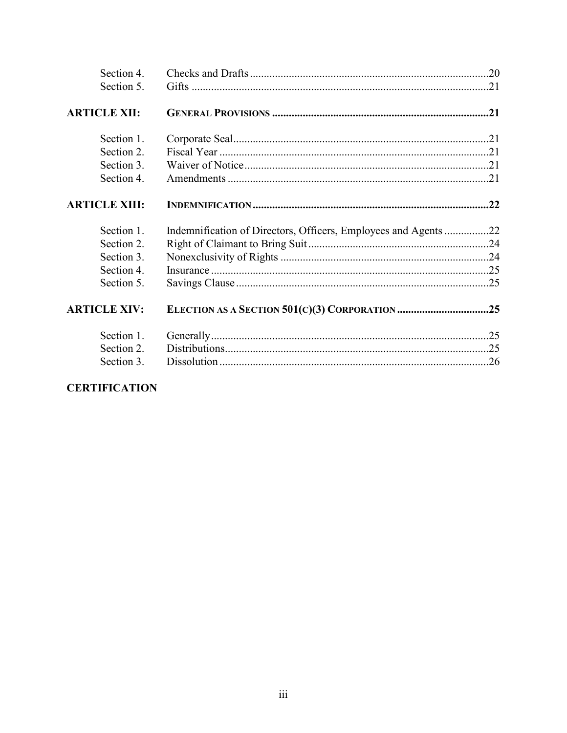| Section 4.           |                                                                |  |
|----------------------|----------------------------------------------------------------|--|
| Section 5.           |                                                                |  |
| <b>ARTICLE XII:</b>  |                                                                |  |
| Section 1.           |                                                                |  |
| Section 2.           |                                                                |  |
| Section 3.           |                                                                |  |
| Section 4.           |                                                                |  |
| <b>ARTICLE XIII:</b> |                                                                |  |
|                      |                                                                |  |
| Section 1.           | Indemnification of Directors, Officers, Employees and Agents22 |  |
| Section 2.           |                                                                |  |
| Section 3.           |                                                                |  |
| Section 4.           |                                                                |  |
| Section 5.           |                                                                |  |
| <b>ARTICLE XIV:</b>  |                                                                |  |
| Section 1.           |                                                                |  |
| Section 2.           |                                                                |  |

### **CERTIFICATION**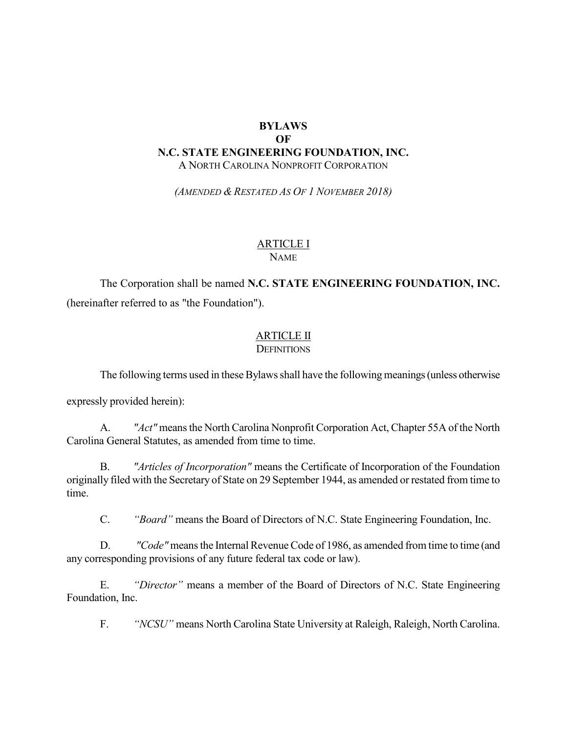#### **BYLAWS OF N.C. STATE ENGINEERING FOUNDATION, INC.** A NORTH CAROLINA NONPROFIT CORPORATION

*(AMENDED & RESTATED AS OF 1 NOVEMBER 2018)*

#### ARTICLE I NAME

## The Corporation shall be named **N.C. STATE ENGINEERING FOUNDATION, INC.** (hereinafter referred to as "the Foundation").

# ARTICLE II

**DEFINITIONS** 

The following terms used in these Bylaws shall have the following meanings (unless otherwise

expressly provided herein):

A. *"Act"* means the North Carolina Nonprofit Corporation Act, Chapter 55A of the North Carolina General Statutes, as amended from time to time.

B. *"Articles of Incorporation"* means the Certificate of Incorporation of the Foundation originally filed with the Secretary of State on 29 September 1944, as amended or restated from time to time.

C. *"Board"* means the Board of Directors of N.C. State Engineering Foundation, Inc.

D. *"Code"* means the Internal Revenue Code of 1986, as amended from time to time (and any corresponding provisions of any future federal tax code or law).

E. *"Director"* means a member of the Board of Directors of N.C. State Engineering Foundation, Inc.

F. *"NCSU"* means North Carolina State University at Raleigh, Raleigh, North Carolina.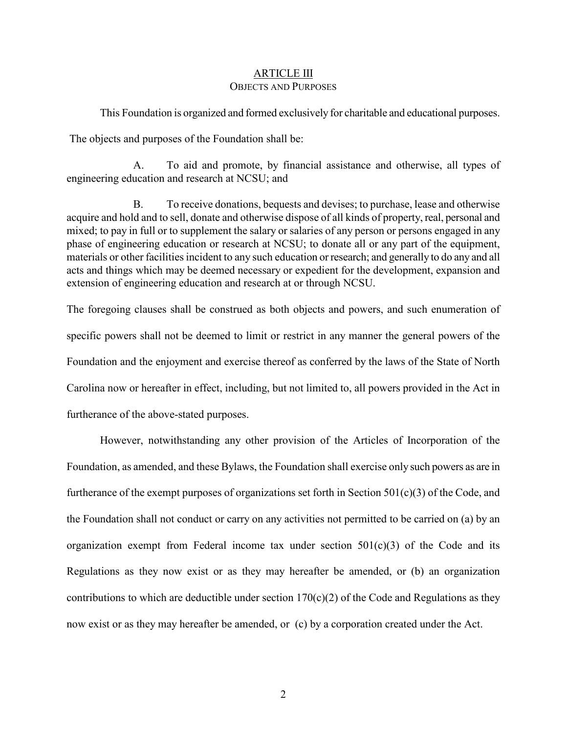#### ARTICLE III OBJECTS AND PURPOSES

This Foundation is organized and formed exclusively for charitable and educational purposes.

The objects and purposes of the Foundation shall be:

A. To aid and promote, by financial assistance and otherwise, all types of engineering education and research at NCSU; and

B. To receive donations, bequests and devises; to purchase, lease and otherwise acquire and hold and to sell, donate and otherwise dispose of all kinds of property, real, personal and mixed; to pay in full or to supplement the salary or salaries of any person or persons engaged in any phase of engineering education or research at NCSU; to donate all or any part of the equipment, materials or other facilities incident to any such education or research; and generally to do any and all acts and things which may be deemed necessary or expedient for the development, expansion and extension of engineering education and research at or through NCSU.

The foregoing clauses shall be construed as both objects and powers, and such enumeration of specific powers shall not be deemed to limit or restrict in any manner the general powers of the Foundation and the enjoyment and exercise thereof as conferred by the laws of the State of North Carolina now or hereafter in effect, including, but not limited to, all powers provided in the Act in furtherance of the above-stated purposes.

However, notwithstanding any other provision of the Articles of Incorporation of the Foundation, as amended, and these Bylaws, the Foundation shall exercise only such powers as are in furtherance of the exempt purposes of organizations set forth in Section  $501(c)(3)$  of the Code, and the Foundation shall not conduct or carry on any activities not permitted to be carried on (a) by an organization exempt from Federal income tax under section  $501(c)(3)$  of the Code and its Regulations as they now exist or as they may hereafter be amended, or (b) an organization contributions to which are deductible under section  $170(c)(2)$  of the Code and Regulations as they now exist or as they may hereafter be amended, or (c) by a corporation created under the Act.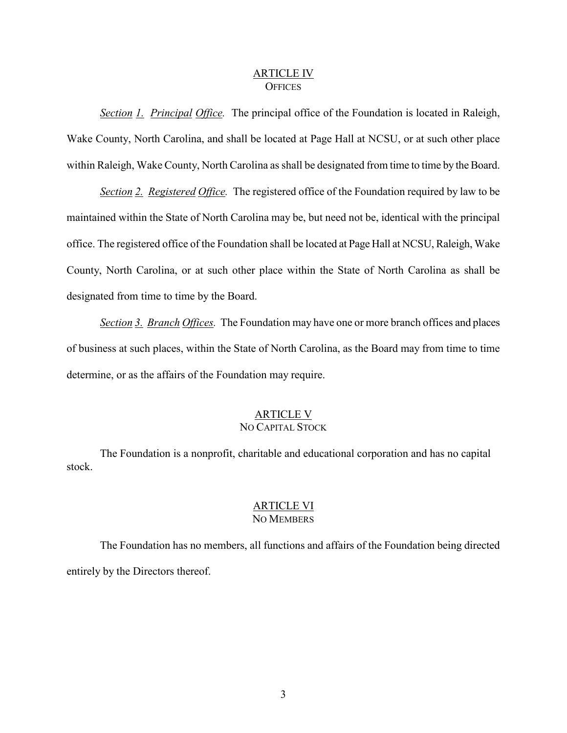#### ARTICLE IV **OFFICES**

*Section 1. Principal Office.* The principal office of the Foundation is located in Raleigh, Wake County, North Carolina, and shall be located at Page Hall at NCSU, or at such other place within Raleigh, Wake County, North Carolina as shall be designated from time to time by the Board.

*Section 2. Registered Office.* The registered office of the Foundation required by law to be maintained within the State of North Carolina may be, but need not be, identical with the principal office. The registered office of the Foundation shall be located at Page Hall at NCSU, Raleigh, Wake County, North Carolina, or at such other place within the State of North Carolina as shall be designated from time to time by the Board.

*Section 3. Branch Offices.* The Foundation may have one or more branch offices and places of business at such places, within the State of North Carolina, as the Board may from time to time determine, or as the affairs of the Foundation may require.

#### ARTICLE V NO CAPITAL STOCK

The Foundation is a nonprofit, charitable and educational corporation and has no capital stock.

#### ARTICLE VI NO MEMBERS

The Foundation has no members, all functions and affairs of the Foundation being directed entirely by the Directors thereof.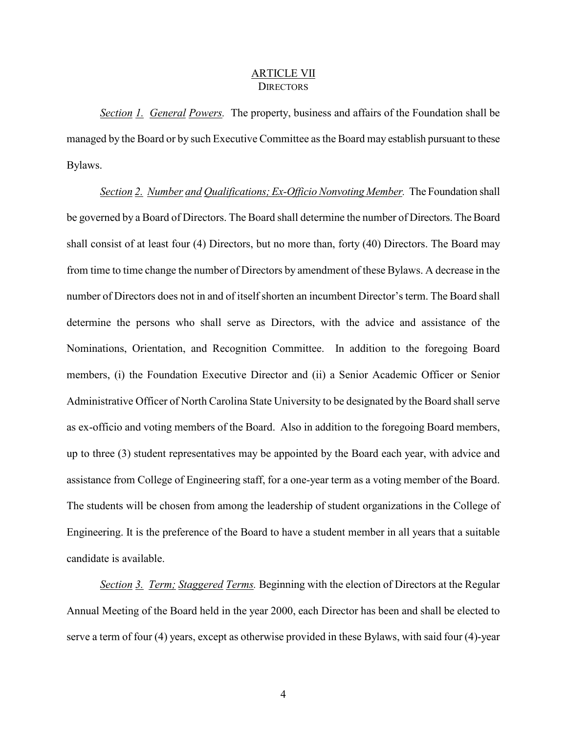#### ARTICLE VII **DIRECTORS**

*Section 1. General Powers.* The property, business and affairs of the Foundation shall be managed by the Board or by such Executive Committee as the Board may establish pursuant to these Bylaws.

*Section 2. Number and Qualifications; Ex-Officio Nonvoting Member.* The Foundation shall be governed by a Board of Directors. The Board shall determine the number of Directors. The Board shall consist of at least four (4) Directors, but no more than, forty (40) Directors. The Board may from time to time change the number of Directors by amendment of these Bylaws. A decrease in the number of Directors does not in and of itself shorten an incumbent Director's term. The Board shall determine the persons who shall serve as Directors, with the advice and assistance of the Nominations, Orientation, and Recognition Committee. In addition to the foregoing Board members, (i) the Foundation Executive Director and (ii) a Senior Academic Officer or Senior Administrative Officer of North Carolina State University to be designated by the Board shall serve as ex-officio and voting members of the Board. Also in addition to the foregoing Board members, up to three (3) student representatives may be appointed by the Board each year, with advice and assistance from College of Engineering staff, for a one-year term as a voting member of the Board. The students will be chosen from among the leadership of student organizations in the College of Engineering. It is the preference of the Board to have a student member in all years that a suitable candidate is available.

*Section 3. Term; Staggered Terms.* Beginning with the election of Directors at the Regular Annual Meeting of the Board held in the year 2000, each Director has been and shall be elected to serve a term of four (4) years, except as otherwise provided in these Bylaws, with said four (4)-year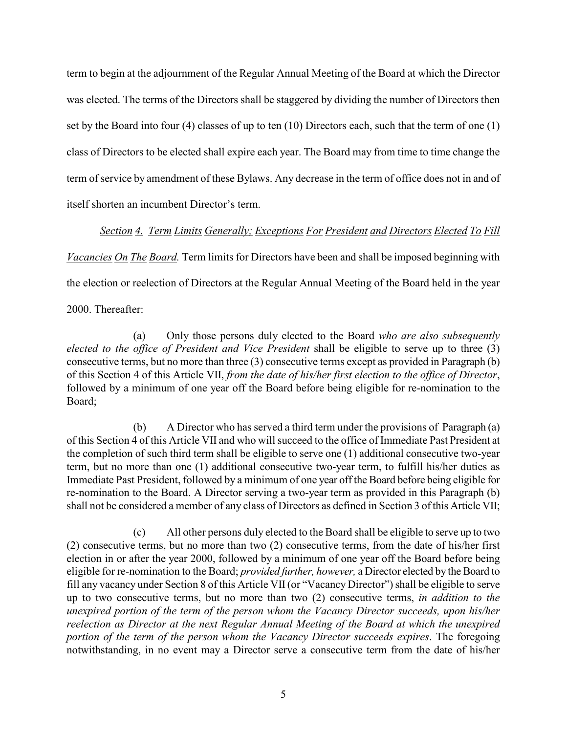term to begin at the adjournment of the Regular Annual Meeting of the Board at which the Director was elected. The terms of the Directors shall be staggered by dividing the number of Directors then set by the Board into four (4) classes of up to ten (10) Directors each, such that the term of one (1) class of Directors to be elected shall expire each year. The Board may from time to time change the term of service by amendment of these Bylaws. Any decrease in the term of office does not in and of itself shorten an incumbent Director's term.

*Section 4. Term Limits Generally; Exceptions For President and Directors Elected To Fill*

*Vacancies On The Board.* Term limits for Directors have been and shall be imposed beginning with

the election or reelection of Directors at the Regular Annual Meeting of the Board held in the year

2000. Thereafter:

(a) Only those persons duly elected to the Board *who are also subsequently elected to the office of President and Vice President* shall be eligible to serve up to three (3) consecutive terms, but no more than three (3) consecutive terms except as provided in Paragraph (b) of this Section 4 of this Article VII, *from the date of his/her first election to the office of Director*, followed by a minimum of one year off the Board before being eligible for re-nomination to the Board;

(b) A Director who has served a third term under the provisions of Paragraph (a) of this Section 4 of this Article VII and who will succeed to the office of Immediate Past President at the completion of such third term shall be eligible to serve one (1) additional consecutive two-year term, but no more than one (1) additional consecutive two-year term, to fulfill his/her duties as Immediate Past President, followed by a minimum of one year off the Board before being eligible for re-nomination to the Board. A Director serving a two-year term as provided in this Paragraph (b) shall not be considered a member of any class of Directors as defined in Section 3 of this Article VII;

(c) All other persons duly elected to the Board shall be eligible to serve up to two (2) consecutive terms, but no more than two (2) consecutive terms, from the date of his/her first election in or after the year 2000, followed by a minimum of one year off the Board before being eligible for re-nomination to the Board; *provided further, however,* a Director elected by the Board to fill any vacancy under Section 8 of this Article VII (or "Vacancy Director") shall be eligible to serve up to two consecutive terms, but no more than two (2) consecutive terms, *in addition to the unexpired portion of the term of the person whom the Vacancy Director succeeds, upon his/her reelection as Director at the next Regular Annual Meeting of the Board at which the unexpired portion of the term of the person whom the Vacancy Director succeeds expires*. The foregoing notwithstanding, in no event may a Director serve a consecutive term from the date of his/her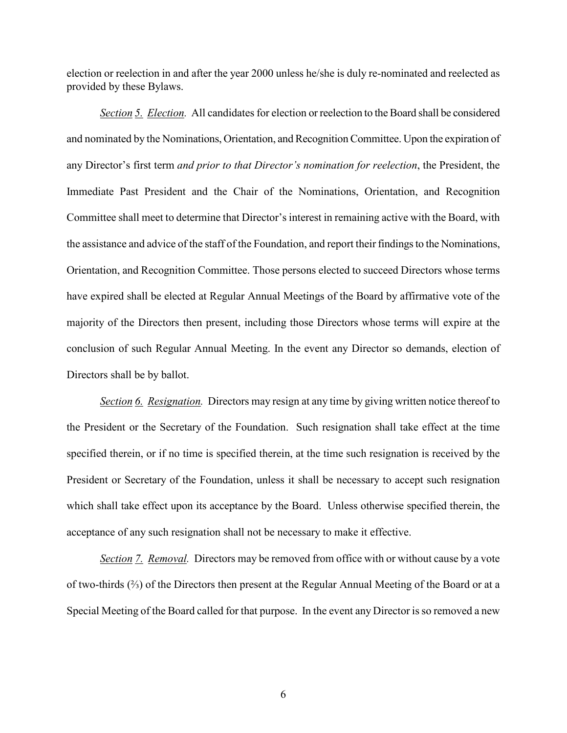election or reelection in and after the year 2000 unless he/she is duly re-nominated and reelected as provided by these Bylaws.

*Section 5. Election.* All candidates for election or reelection to the Board shall be considered and nominated by the Nominations, Orientation, and Recognition Committee. Upon the expiration of any Director's first term *and prior to that Director's nomination for reelection*, the President, the Immediate Past President and the Chair of the Nominations, Orientation, and Recognition Committee shall meet to determine that Director's interest in remaining active with the Board, with the assistance and advice of the staff of the Foundation, and report their findings to the Nominations, Orientation, and Recognition Committee. Those persons elected to succeed Directors whose terms have expired shall be elected at Regular Annual Meetings of the Board by affirmative vote of the majority of the Directors then present, including those Directors whose terms will expire at the conclusion of such Regular Annual Meeting. In the event any Director so demands, election of Directors shall be by ballot.

*Section 6. Resignation.* Directors may resign at any time by giving written notice thereof to the President or the Secretary of the Foundation. Such resignation shall take effect at the time specified therein, or if no time is specified therein, at the time such resignation is received by the President or Secretary of the Foundation, unless it shall be necessary to accept such resignation which shall take effect upon its acceptance by the Board. Unless otherwise specified therein, the acceptance of any such resignation shall not be necessary to make it effective.

*Section 7. Removal.* Directors may be removed from office with or without cause by a vote of two-thirds (⅔) of the Directors then present at the Regular Annual Meeting of the Board or at a Special Meeting of the Board called for that purpose. In the event any Director is so removed a new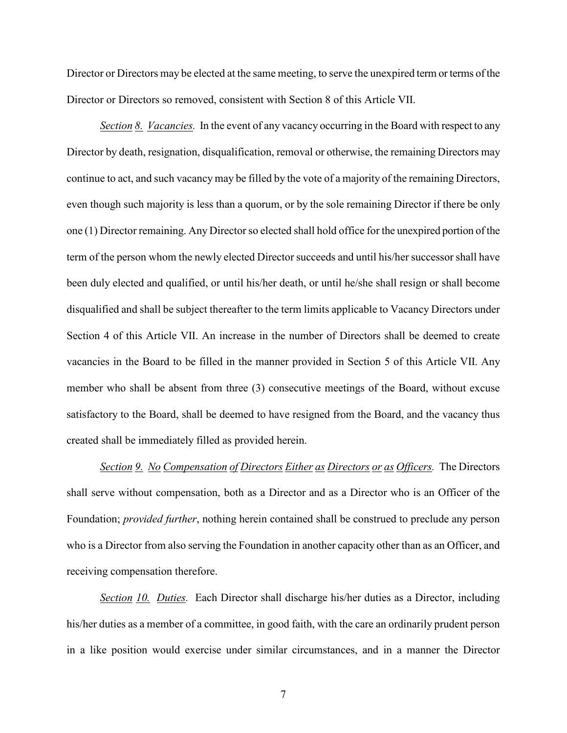Director or Directors may be elected at the same meeting, to serve the unexpired term or terms of the Director or Directors so removed, consistent with Section 8 of this Article VII.

*Section 8. Vacancies.* In the event of any vacancy occurring in the Board with respect to any Director by death, resignation, disqualification, removal or otherwise, the remaining Directors may continue to act, and such vacancy may be filled by the vote of a majority of the remaining Directors, even though such majority is less than a quorum, or by the sole remaining Director if there be only one (1) Director remaining. Any Director so elected shall hold office for the unexpired portion of the term of the person whom the newly elected Director succeeds and until his/her successor shall have been duly elected and qualified, or until his/her death, or until he/she shall resign or shall become disqualified and shall be subject thereafter to the term limits applicable to Vacancy Directors under Section 4 of this Article VII. An increase in the number of Directors shall be deemed to create vacancies in the Board to be filled in the manner provided in Section 5 of this Article VII. Any member who shall be absent from three (3) consecutive meetings of the Board, without excuse satisfactory to the Board, shall be deemed to have resigned from the Board, and the vacancy thus created shall be immediately filled as provided herein.

*Section 9. No Compensation of Directors Either as Directors or as Officers.* The Directors shall serve without compensation, both as a Director and as a Director who is an Officer of the Foundation; *provided further*, nothing herein contained shall be construed to preclude any person who is a Director from also serving the Foundation in another capacity other than as an Officer, and receiving compensation therefore.

*Section 10. Duties.* Each Director shall discharge his/her duties as a Director, including his/her duties as a member of a committee, in good faith, with the care an ordinarily prudent person in a like position would exercise under similar circumstances, and in a manner the Director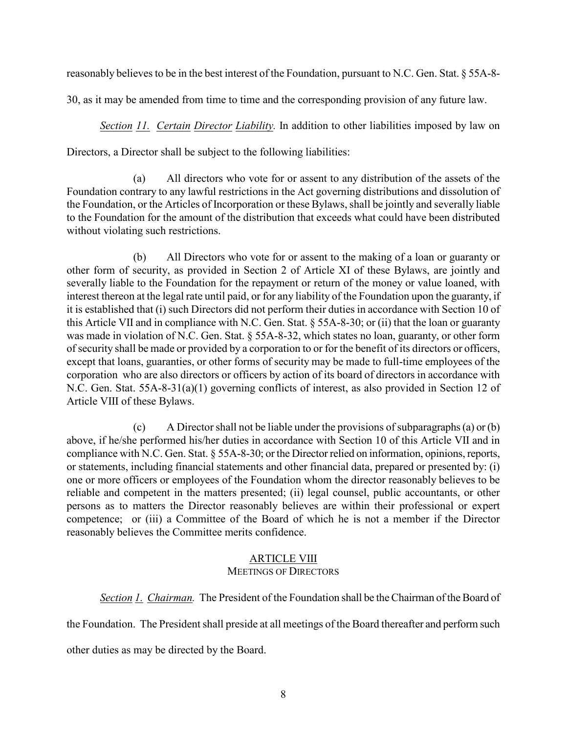reasonably believes to be in the best interest of the Foundation, pursuant to N.C. Gen. Stat. § 55A-8-

30, as it may be amended from time to time and the corresponding provision of any future law.

*Section 11. Certain Director Liability.* In addition to other liabilities imposed by law on

Directors, a Director shall be subject to the following liabilities:

(a) All directors who vote for or assent to any distribution of the assets of the Foundation contrary to any lawful restrictions in the Act governing distributions and dissolution of the Foundation, or the Articles of Incorporation or these Bylaws, shall be jointly and severally liable to the Foundation for the amount of the distribution that exceeds what could have been distributed without violating such restrictions.

(b) All Directors who vote for or assent to the making of a loan or guaranty or other form of security, as provided in Section 2 of Article XI of these Bylaws, are jointly and severally liable to the Foundation for the repayment or return of the money or value loaned, with interest thereon at the legal rate until paid, or for any liability of the Foundation upon the guaranty, if it is established that (i) such Directors did not perform their duties in accordance with Section 10 of this Article VII and in compliance with N.C. Gen. Stat. § 55A-8-30; or (ii) that the loan or guaranty was made in violation of N.C. Gen. Stat. § 55A-8-32, which states no loan, guaranty, or other form of security shall be made or provided by a corporation to or for the benefit of its directors or officers, except that loans, guaranties, or other forms of security may be made to full-time employees of the corporation who are also directors or officers by action of its board of directors in accordance with N.C. Gen. Stat. 55A-8-31(a)(1) governing conflicts of interest, as also provided in Section 12 of Article VIII of these Bylaws.

(c) A Director shall not be liable under the provisions of subparagraphs (a) or (b) above, if he/she performed his/her duties in accordance with Section 10 of this Article VII and in compliance with N.C. Gen. Stat. § 55A-8-30; or the Director relied on information, opinions, reports, or statements, including financial statements and other financial data, prepared or presented by: (i) one or more officers or employees of the Foundation whom the director reasonably believes to be reliable and competent in the matters presented; (ii) legal counsel, public accountants, or other persons as to matters the Director reasonably believes are within their professional or expert competence; or (iii) a Committee of the Board of which he is not a member if the Director reasonably believes the Committee merits confidence.

#### ARTICLE VIII MEETINGS OF DIRECTORS

*Section 1. Chairman.* The President of the Foundation shall be the Chairman of the Board of

the Foundation. The President shall preside at all meetings of the Board thereafter and perform such other duties as may be directed by the Board.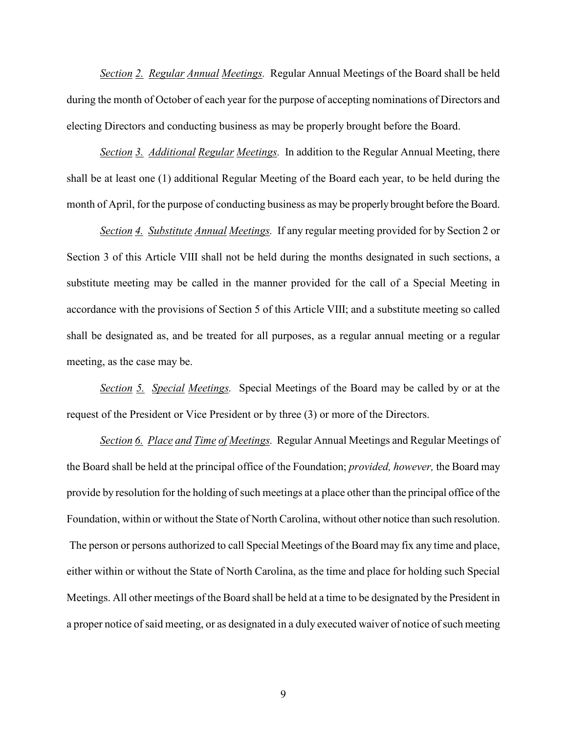*Section 2. Regular Annual Meetings.* Regular Annual Meetings of the Board shall be held during the month of October of each year for the purpose of accepting nominations of Directors and electing Directors and conducting business as may be properly brought before the Board.

*Section 3. Additional Regular Meetings.* In addition to the Regular Annual Meeting, there shall be at least one (1) additional Regular Meeting of the Board each year, to be held during the month of April, for the purpose of conducting business as may be properly brought before the Board.

*Section 4. Substitute Annual Meetings.* If any regular meeting provided for by Section 2 or Section 3 of this Article VIII shall not be held during the months designated in such sections, a substitute meeting may be called in the manner provided for the call of a Special Meeting in accordance with the provisions of Section 5 of this Article VIII; and a substitute meeting so called shall be designated as, and be treated for all purposes, as a regular annual meeting or a regular meeting, as the case may be.

*Section 5. Special Meetings.* Special Meetings of the Board may be called by or at the request of the President or Vice President or by three (3) or more of the Directors.

*Section 6. Place and Time of Meetings.* Regular Annual Meetings and Regular Meetings of the Board shall be held at the principal office of the Foundation; *provided, however,* the Board may provide by resolution for the holding of such meetings at a place other than the principal office of the Foundation, within or without the State of North Carolina, without other notice than such resolution. The person or persons authorized to call Special Meetings of the Board may fix any time and place, either within or without the State of North Carolina, as the time and place for holding such Special Meetings. All other meetings of the Board shall be held at a time to be designated by the President in a proper notice of said meeting, or as designated in a duly executed waiver of notice of such meeting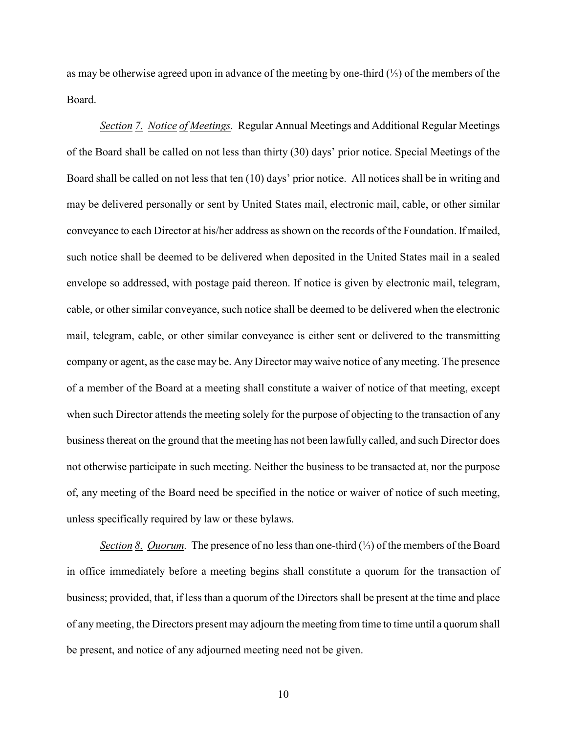as may be otherwise agreed upon in advance of the meeting by one-third (⅓) of the members of the Board.

*Section 7. Notice of Meetings.* Regular Annual Meetings and Additional Regular Meetings of the Board shall be called on not less than thirty (30) days' prior notice. Special Meetings of the Board shall be called on not less that ten (10) days' prior notice. All notices shall be in writing and may be delivered personally or sent by United States mail, electronic mail, cable, or other similar conveyance to each Director at his/her address as shown on the records of the Foundation. If mailed, such notice shall be deemed to be delivered when deposited in the United States mail in a sealed envelope so addressed, with postage paid thereon. If notice is given by electronic mail, telegram, cable, or other similar conveyance, such notice shall be deemed to be delivered when the electronic mail, telegram, cable, or other similar conveyance is either sent or delivered to the transmitting company or agent, as the case may be. Any Director may waive notice of any meeting. The presence of a member of the Board at a meeting shall constitute a waiver of notice of that meeting, except when such Director attends the meeting solely for the purpose of objecting to the transaction of any business thereat on the ground that the meeting has not been lawfully called, and such Director does not otherwise participate in such meeting. Neither the business to be transacted at, nor the purpose of, any meeting of the Board need be specified in the notice or waiver of notice of such meeting, unless specifically required by law or these bylaws.

*Section 8. Quorum.* The presence of no less than one-third (⅓) of the members of the Board in office immediately before a meeting begins shall constitute a quorum for the transaction of business; provided, that, if less than a quorum of the Directors shall be present at the time and place of any meeting, the Directors present may adjourn the meeting from time to time until a quorum shall be present, and notice of any adjourned meeting need not be given.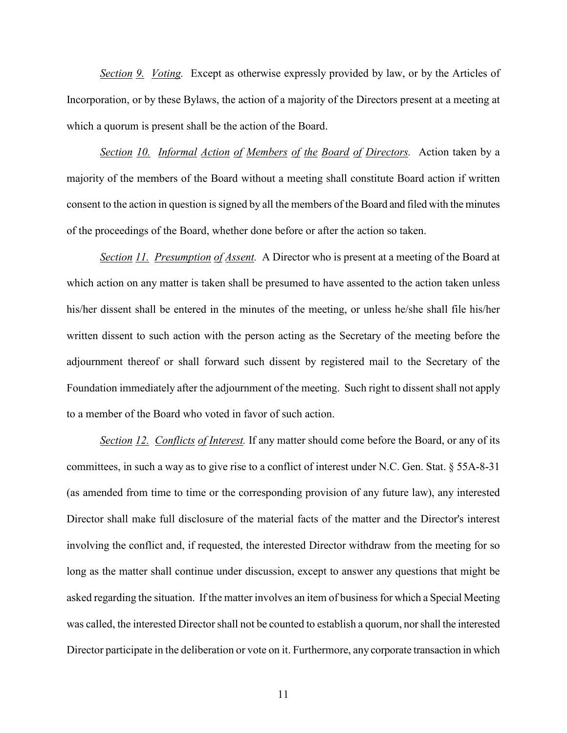*Section 9. Voting.* Except as otherwise expressly provided by law, or by the Articles of Incorporation, or by these Bylaws, the action of a majority of the Directors present at a meeting at which a quorum is present shall be the action of the Board.

*Section 10. Informal Action of Members of the Board of Directors.* Action taken by a majority of the members of the Board without a meeting shall constitute Board action if written consent to the action in question is signed by all the members of the Board and filed with the minutes of the proceedings of the Board, whether done before or after the action so taken.

*Section 11. Presumption of Assent.* A Director who is present at a meeting of the Board at which action on any matter is taken shall be presumed to have assented to the action taken unless his/her dissent shall be entered in the minutes of the meeting, or unless he/she shall file his/her written dissent to such action with the person acting as the Secretary of the meeting before the adjournment thereof or shall forward such dissent by registered mail to the Secretary of the Foundation immediately after the adjournment of the meeting. Such right to dissent shall not apply to a member of the Board who voted in favor of such action.

*Section 12. Conflicts of Interest.* If any matter should come before the Board, or any of its committees, in such a way as to give rise to a conflict of interest under N.C. Gen. Stat. § 55A-8-31 (as amended from time to time or the corresponding provision of any future law), any interested Director shall make full disclosure of the material facts of the matter and the Director's interest involving the conflict and, if requested, the interested Director withdraw from the meeting for so long as the matter shall continue under discussion, except to answer any questions that might be asked regarding the situation. If the matter involves an item of business for which a Special Meeting was called, the interested Director shall not be counted to establish a quorum, nor shall the interested Director participate in the deliberation or vote on it. Furthermore, any corporate transaction in which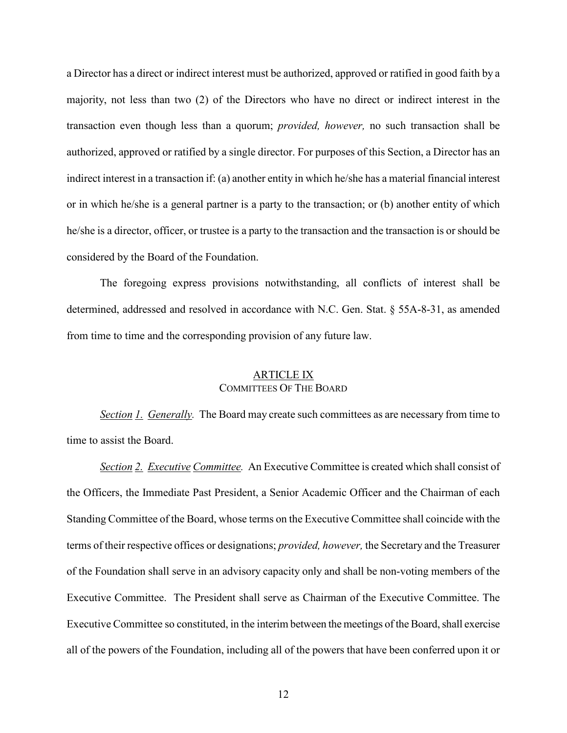a Director has a direct or indirect interest must be authorized, approved or ratified in good faith by a majority, not less than two (2) of the Directors who have no direct or indirect interest in the transaction even though less than a quorum; *provided, however,* no such transaction shall be authorized, approved or ratified by a single director. For purposes of this Section, a Director has an indirect interest in a transaction if: (a) another entity in which he/she has a material financial interest or in which he/she is a general partner is a party to the transaction; or (b) another entity of which he/she is a director, officer, or trustee is a party to the transaction and the transaction is or should be considered by the Board of the Foundation.

The foregoing express provisions notwithstanding, all conflicts of interest shall be determined, addressed and resolved in accordance with N.C. Gen. Stat. § 55A-8-31, as amended from time to time and the corresponding provision of any future law.

#### ARTICLE IX COMMITTEES OF THE BOARD

*Section 1. Generally.* The Board may create such committees as are necessary from time to time to assist the Board.

*Section 2. Executive Committee.* An Executive Committee is created which shall consist of the Officers, the Immediate Past President, a Senior Academic Officer and the Chairman of each Standing Committee of the Board, whose terms on the Executive Committee shall coincide with the terms of their respective offices or designations; *provided, however,* the Secretary and the Treasurer of the Foundation shall serve in an advisory capacity only and shall be non-voting members of the Executive Committee. The President shall serve as Chairman of the Executive Committee. The Executive Committee so constituted, in the interim between the meetings of the Board, shall exercise all of the powers of the Foundation, including all of the powers that have been conferred upon it or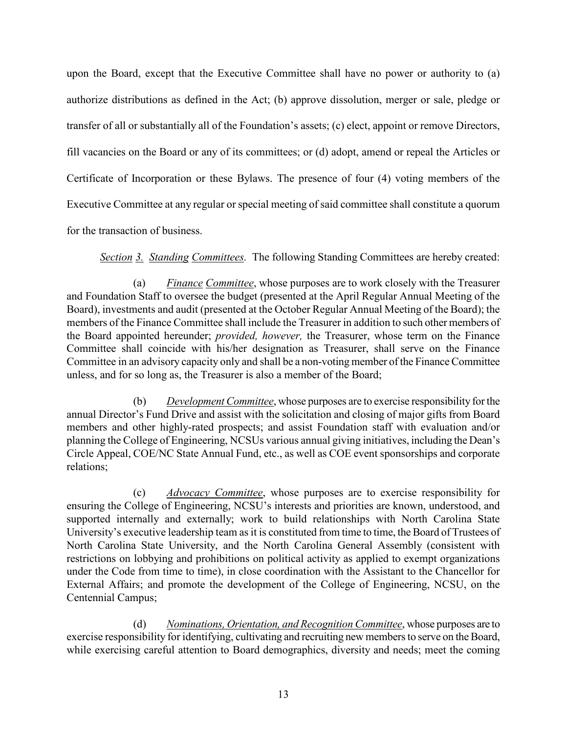upon the Board, except that the Executive Committee shall have no power or authority to (a) authorize distributions as defined in the Act; (b) approve dissolution, merger or sale, pledge or transfer of all or substantially all of the Foundation's assets; (c) elect, appoint or remove Directors, fill vacancies on the Board or any of its committees; or (d) adopt, amend or repeal the Articles or Certificate of Incorporation or these Bylaws. The presence of four (4) voting members of the Executive Committee at any regular or special meeting of said committee shall constitute a quorum for the transaction of business.

*Section 3. Standing Committees.* The following Standing Committees are hereby created:

(a) *Finance Committee*, whose purposes are to work closely with the Treasurer and Foundation Staff to oversee the budget (presented at the April Regular Annual Meeting of the Board), investments and audit (presented at the October Regular Annual Meeting of the Board); the members of the Finance Committee shall include the Treasurer in addition to such other members of the Board appointed hereunder; *provided, however,* the Treasurer, whose term on the Finance Committee shall coincide with his/her designation as Treasurer, shall serve on the Finance Committee in an advisory capacity only and shall be a non-voting member of the Finance Committee unless, and for so long as, the Treasurer is also a member of the Board;

(b) *Development Committee*, whose purposes are to exercise responsibility for the annual Director's Fund Drive and assist with the solicitation and closing of major gifts from Board members and other highly-rated prospects; and assist Foundation staff with evaluation and/or planning the College of Engineering, NCSUs various annual giving initiatives, including the Dean's Circle Appeal, COE/NC State Annual Fund, etc., as well as COE event sponsorships and corporate relations;

(c) *Advocacy Committee*, whose purposes are to exercise responsibility for ensuring the College of Engineering, NCSU's interests and priorities are known, understood, and supported internally and externally; work to build relationships with North Carolina State University's executive leadership team as it is constituted from time to time, the Board of Trustees of North Carolina State University, and the North Carolina General Assembly (consistent with restrictions on lobbying and prohibitions on political activity as applied to exempt organizations under the Code from time to time), in close coordination with the Assistant to the Chancellor for External Affairs; and promote the development of the College of Engineering, NCSU, on the Centennial Campus;

(d) *Nominations, Orientation, and Recognition Committee*, whose purposes are to exercise responsibility for identifying, cultivating and recruiting new members to serve on the Board, while exercising careful attention to Board demographics, diversity and needs; meet the coming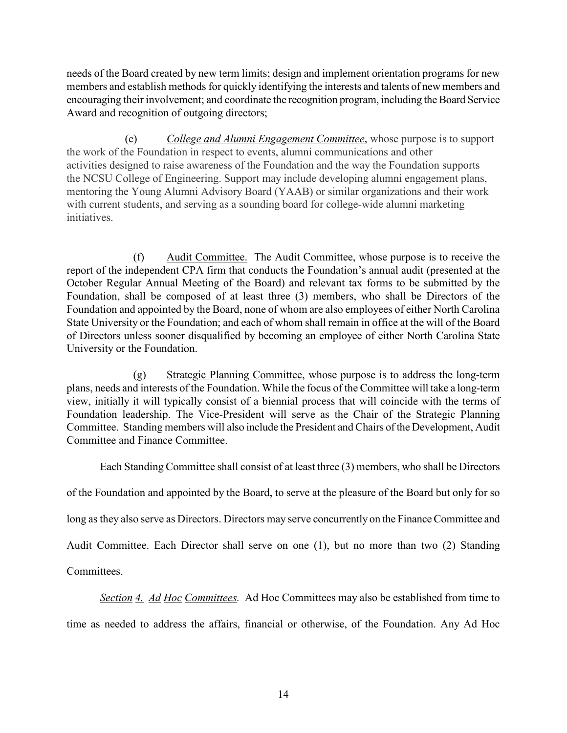needs of the Board created by new term limits; design and implement orientation programs for new members and establish methods for quickly identifying the interests and talents of new members and encouraging their involvement; and coordinate the recognition program, including the Board Service Award and recognition of outgoing directors;

 (e) *College and Alumni Engagement Committee*, whose purpose is to support the work of the Foundation in respect to events, alumni communications and other activities designed to raise awareness of the Foundation and the way the Foundation supports the NCSU College of Engineering. Support may include developing alumni engagement plans, mentoring the Young Alumni Advisory Board (YAAB) or similar organizations and their work with current students, and serving as a sounding board for college-wide alumni marketing initiatives.

(f) Audit Committee. The Audit Committee, whose purpose is to receive the report of the independent CPA firm that conducts the Foundation's annual audit (presented at the October Regular Annual Meeting of the Board) and relevant tax forms to be submitted by the Foundation, shall be composed of at least three (3) members, who shall be Directors of the Foundation and appointed by the Board, none of whom are also employees of either North Carolina State University or the Foundation; and each of whom shall remain in office at the will of the Board of Directors unless sooner disqualified by becoming an employee of either North Carolina State University or the Foundation.

(g) Strategic Planning Committee, whose purpose is to address the long-term plans, needs and interests of the Foundation. While the focus of the Committee will take a long-term view, initially it will typically consist of a biennial process that will coincide with the terms of Foundation leadership. The Vice-President will serve as the Chair of the Strategic Planning Committee. Standing members will also include the President and Chairs of the Development, Audit Committee and Finance Committee.

Each Standing Committee shall consist of at least three (3) members, who shall be Directors

of the Foundation and appointed by the Board, to serve at the pleasure of the Board but only for so

long as they also serve as Directors. Directors may serve concurrently on the Finance Committee and

Audit Committee. Each Director shall serve on one (1), but no more than two (2) Standing

Committees.

*Section 4. Ad Hoc Committees.* Ad Hoc Committees may also be established from time to

time as needed to address the affairs, financial or otherwise, of the Foundation. Any Ad Hoc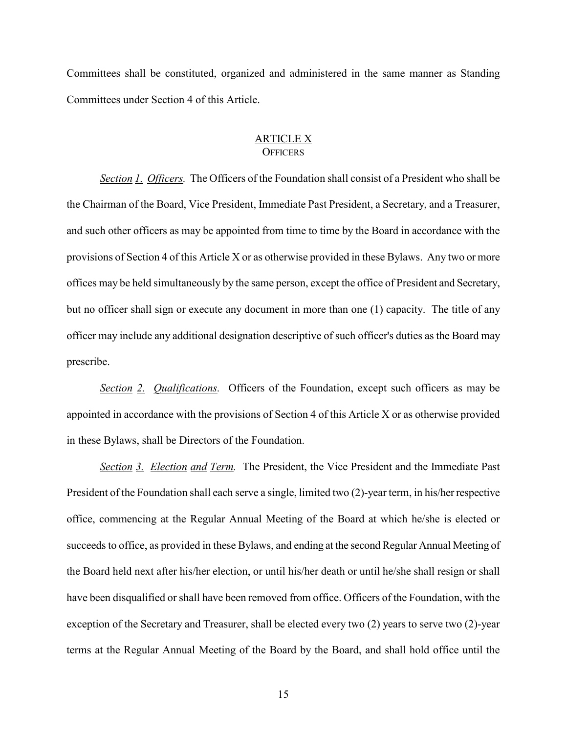Committees shall be constituted, organized and administered in the same manner as Standing Committees under Section 4 of this Article.

#### ARTICLE X **OFFICERS**

*Section 1. Officers.* The Officers of the Foundation shall consist of a President who shall be the Chairman of the Board, Vice President, Immediate Past President, a Secretary, and a Treasurer, and such other officers as may be appointed from time to time by the Board in accordance with the provisions of Section 4 of this Article X or as otherwise provided in these Bylaws. Any two or more offices may be held simultaneously by the same person, except the office of President and Secretary, but no officer shall sign or execute any document in more than one (1) capacity. The title of any officer may include any additional designation descriptive of such officer's duties as the Board may prescribe.

*Section 2. Qualifications.* Officers of the Foundation, except such officers as may be appointed in accordance with the provisions of Section 4 of this Article X or as otherwise provided in these Bylaws, shall be Directors of the Foundation.

*Section 3. Election and Term.* The President, the Vice President and the Immediate Past President of the Foundation shall each serve a single, limited two (2)-year term, in his/her respective office, commencing at the Regular Annual Meeting of the Board at which he/she is elected or succeeds to office, as provided in these Bylaws, and ending at the second Regular Annual Meeting of the Board held next after his/her election, or until his/her death or until he/she shall resign or shall have been disqualified or shall have been removed from office. Officers of the Foundation, with the exception of the Secretary and Treasurer, shall be elected every two (2) years to serve two (2)-year terms at the Regular Annual Meeting of the Board by the Board, and shall hold office until the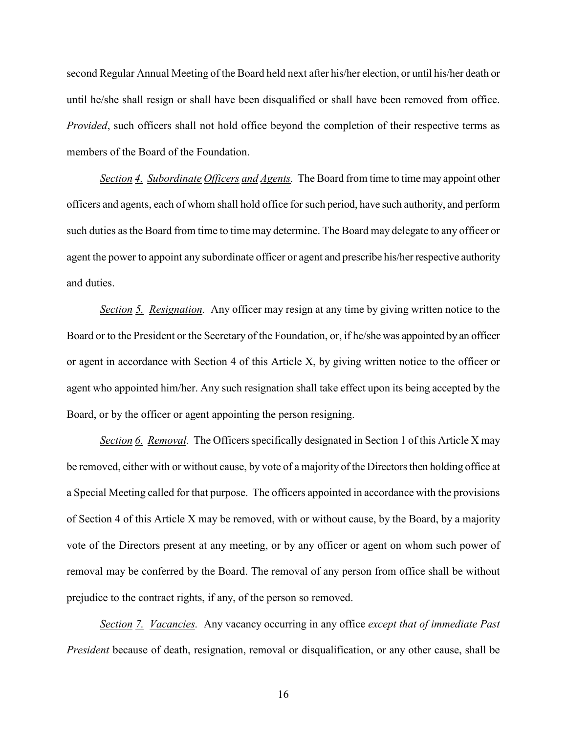second Regular Annual Meeting of the Board held next after his/her election, or until his/her death or until he/she shall resign or shall have been disqualified or shall have been removed from office. *Provided*, such officers shall not hold office beyond the completion of their respective terms as members of the Board of the Foundation.

*Section 4. Subordinate Officers and Agents.* The Board from time to time may appoint other officers and agents, each of whom shall hold office for such period, have such authority, and perform such duties as the Board from time to time may determine. The Board may delegate to any officer or agent the power to appoint any subordinate officer or agent and prescribe his/her respective authority and duties.

*Section 5. Resignation.* Any officer may resign at any time by giving written notice to the Board or to the President or the Secretary of the Foundation, or, if he/she was appointed by an officer or agent in accordance with Section 4 of this Article X, by giving written notice to the officer or agent who appointed him/her. Any such resignation shall take effect upon its being accepted by the Board, or by the officer or agent appointing the person resigning.

*Section 6. Removal.* The Officers specifically designated in Section 1 of this Article X may be removed, either with or without cause, by vote of a majority of the Directors then holding office at a Special Meeting called for that purpose. The officers appointed in accordance with the provisions of Section 4 of this Article X may be removed, with or without cause, by the Board, by a majority vote of the Directors present at any meeting, or by any officer or agent on whom such power of removal may be conferred by the Board. The removal of any person from office shall be without prejudice to the contract rights, if any, of the person so removed.

*Section 7. Vacancies.* Any vacancy occurring in any office *except that of immediate Past President* because of death, resignation, removal or disqualification, or any other cause, shall be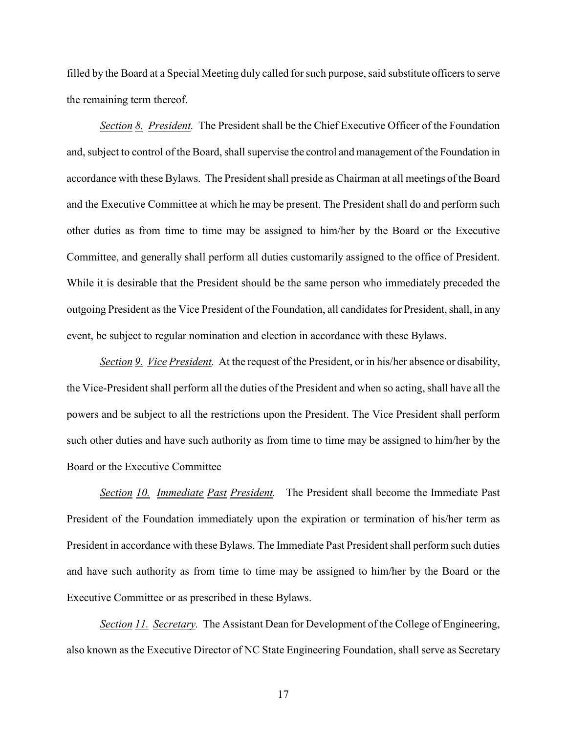filled by the Board at a Special Meeting duly called for such purpose, said substitute officers to serve the remaining term thereof.

*Section 8. President.* The President shall be the Chief Executive Officer of the Foundation and, subject to control of the Board, shall supervise the control and management of the Foundation in accordance with these Bylaws. The President shall preside as Chairman at all meetings of the Board and the Executive Committee at which he may be present. The President shall do and perform such other duties as from time to time may be assigned to him/her by the Board or the Executive Committee, and generally shall perform all duties customarily assigned to the office of President. While it is desirable that the President should be the same person who immediately preceded the outgoing President as the Vice President of the Foundation, all candidates for President, shall, in any event, be subject to regular nomination and election in accordance with these Bylaws.

*Section 9. Vice President.* At the request of the President, or in his/her absence or disability, the Vice-President shall perform all the duties of the President and when so acting, shall have all the powers and be subject to all the restrictions upon the President. The Vice President shall perform such other duties and have such authority as from time to time may be assigned to him/her by the Board or the Executive Committee

*Section 10. Immediate Past President.* The President shall become the Immediate Past President of the Foundation immediately upon the expiration or termination of his/her term as President in accordance with these Bylaws. The Immediate Past President shall perform such duties and have such authority as from time to time may be assigned to him/her by the Board or the Executive Committee or as prescribed in these Bylaws.

*Section 11. Secretary.* The Assistant Dean for Development of the College of Engineering, also known as the Executive Director of NC State Engineering Foundation, shall serve as Secretary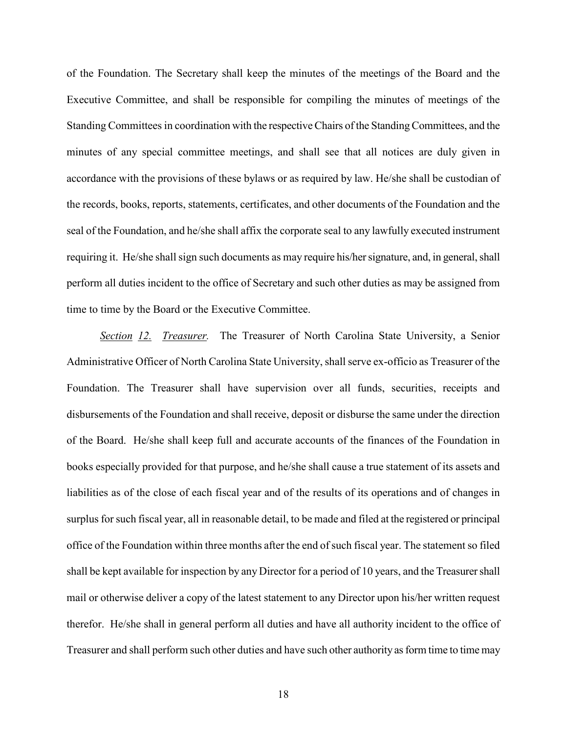of the Foundation. The Secretary shall keep the minutes of the meetings of the Board and the Executive Committee, and shall be responsible for compiling the minutes of meetings of the Standing Committees in coordination with the respective Chairs of the Standing Committees, and the minutes of any special committee meetings, and shall see that all notices are duly given in accordance with the provisions of these bylaws or as required by law. He/she shall be custodian of the records, books, reports, statements, certificates, and other documents of the Foundation and the seal of the Foundation, and he/she shall affix the corporate seal to any lawfully executed instrument requiring it. He/she shall sign such documents as may require his/her signature, and, in general, shall perform all duties incident to the office of Secretary and such other duties as may be assigned from time to time by the Board or the Executive Committee.

*Section 12. Treasurer.* The Treasurer of North Carolina State University, a Senior Administrative Officer of North Carolina State University, shall serve ex-officio as Treasurer of the Foundation. The Treasurer shall have supervision over all funds, securities, receipts and disbursements of the Foundation and shall receive, deposit or disburse the same under the direction of the Board. He/she shall keep full and accurate accounts of the finances of the Foundation in books especially provided for that purpose, and he/she shall cause a true statement of its assets and liabilities as of the close of each fiscal year and of the results of its operations and of changes in surplus for such fiscal year, all in reasonable detail, to be made and filed at the registered or principal office of the Foundation within three months after the end of such fiscal year. The statement so filed shall be kept available for inspection by any Director for a period of 10 years, and the Treasurer shall mail or otherwise deliver a copy of the latest statement to any Director upon his/her written request therefor. He/she shall in general perform all duties and have all authority incident to the office of Treasurer and shall perform such other duties and have such other authority as form time to time may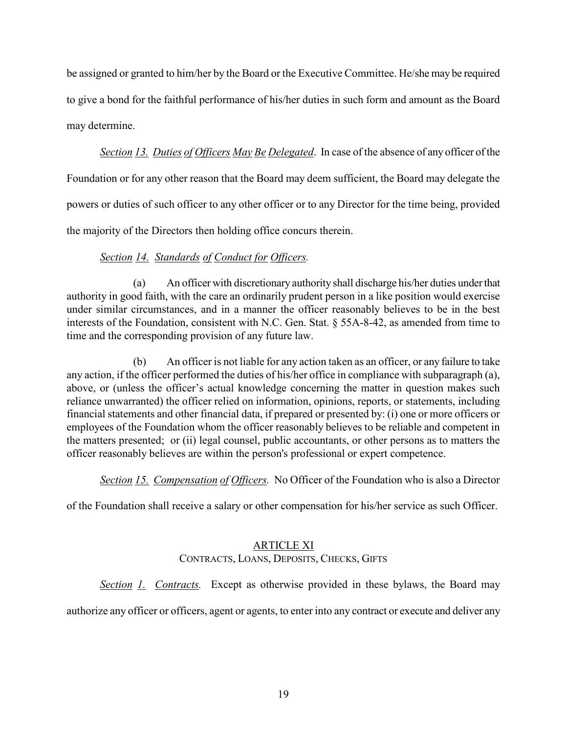be assigned or granted to him/her by the Board or the Executive Committee. He/she may be required to give a bond for the faithful performance of his/her duties in such form and amount as the Board may determine.

*Section 13. Duties of Officers May Be Delegated*. In case of the absence of any officer of the Foundation or for any other reason that the Board may deem sufficient, the Board may delegate the powers or duties of such officer to any other officer or to any Director for the time being, provided the majority of the Directors then holding office concurs therein.

### *Section 14. Standards of Conduct for Officers.*

(a) An officer with discretionary authority shall discharge his/her duties under that authority in good faith, with the care an ordinarily prudent person in a like position would exercise under similar circumstances, and in a manner the officer reasonably believes to be in the best interests of the Foundation, consistent with N.C. Gen. Stat. § 55A-8-42, as amended from time to time and the corresponding provision of any future law.

(b) An officer is not liable for any action taken as an officer, or any failure to take any action, if the officer performed the duties of his/her office in compliance with subparagraph (a), above, or (unless the officer's actual knowledge concerning the matter in question makes such reliance unwarranted) the officer relied on information, opinions, reports, or statements, including financial statements and other financial data, if prepared or presented by: (i) one or more officers or employees of the Foundation whom the officer reasonably believes to be reliable and competent in the matters presented; or (ii) legal counsel, public accountants, or other persons as to matters the officer reasonably believes are within the person's professional or expert competence.

*Section 15. Compensation of Officers.* No Officer of the Foundation who is also a Director

of the Foundation shall receive a salary or other compensation for his/her service as such Officer.

#### ARTICLE XI CONTRACTS, LOANS, DEPOSITS, CHECKS, GIFTS

*Section 1. Contracts.* Except as otherwise provided in these bylaws, the Board may

authorize any officer or officers, agent or agents, to enter into any contract or execute and deliver any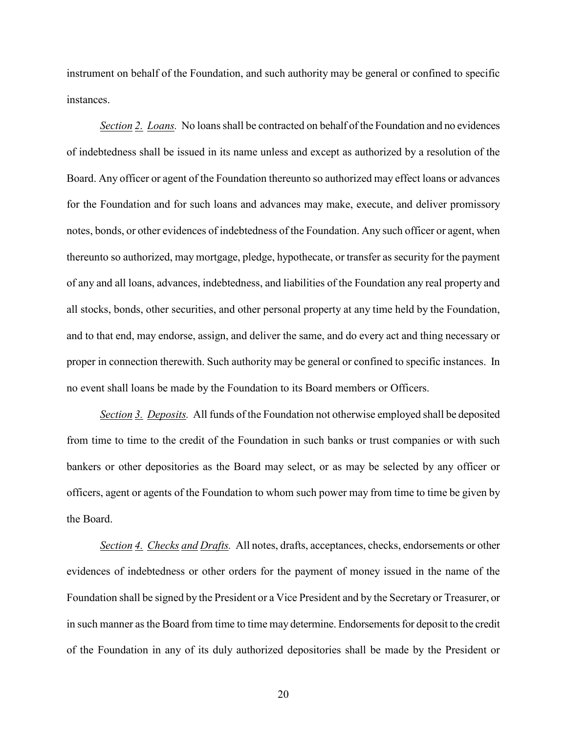instrument on behalf of the Foundation, and such authority may be general or confined to specific instances.

*Section 2. Loans.* No loans shall be contracted on behalf of the Foundation and no evidences of indebtedness shall be issued in its name unless and except as authorized by a resolution of the Board. Any officer or agent of the Foundation thereunto so authorized may effect loans or advances for the Foundation and for such loans and advances may make, execute, and deliver promissory notes, bonds, or other evidences of indebtedness of the Foundation. Any such officer or agent, when thereunto so authorized, may mortgage, pledge, hypothecate, or transfer as security for the payment of any and all loans, advances, indebtedness, and liabilities of the Foundation any real property and all stocks, bonds, other securities, and other personal property at any time held by the Foundation, and to that end, may endorse, assign, and deliver the same, and do every act and thing necessary or proper in connection therewith. Such authority may be general or confined to specific instances. In no event shall loans be made by the Foundation to its Board members or Officers.

*Section 3. Deposits.* All funds of the Foundation not otherwise employed shall be deposited from time to time to the credit of the Foundation in such banks or trust companies or with such bankers or other depositories as the Board may select, or as may be selected by any officer or officers, agent or agents of the Foundation to whom such power may from time to time be given by the Board.

*Section 4. Checks and Drafts.* All notes, drafts, acceptances, checks, endorsements or other evidences of indebtedness or other orders for the payment of money issued in the name of the Foundation shall be signed by the President or a Vice President and by the Secretary or Treasurer, or in such manner as the Board from time to time may determine. Endorsements for deposit to the credit of the Foundation in any of its duly authorized depositories shall be made by the President or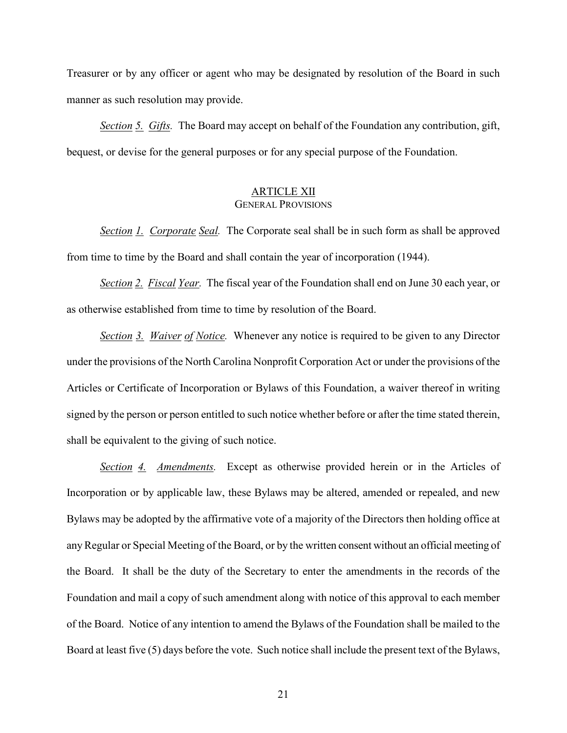Treasurer or by any officer or agent who may be designated by resolution of the Board in such manner as such resolution may provide.

*Section 5. Gifts.* The Board may accept on behalf of the Foundation any contribution, gift, bequest, or devise for the general purposes or for any special purpose of the Foundation.

#### ARTICLE XII GENERAL PROVISIONS

*Section 1. Corporate Seal.* The Corporate seal shall be in such form as shall be approved from time to time by the Board and shall contain the year of incorporation (1944).

*Section 2. Fiscal Year.* The fiscal year of the Foundation shall end on June 30 each year, or as otherwise established from time to time by resolution of the Board.

*Section 3. Waiver of Notice.* Whenever any notice is required to be given to any Director under the provisions of the North Carolina Nonprofit Corporation Act or under the provisions of the Articles or Certificate of Incorporation or Bylaws of this Foundation, a waiver thereof in writing signed by the person or person entitled to such notice whether before or after the time stated therein, shall be equivalent to the giving of such notice.

*Section 4. Amendments.* Except as otherwise provided herein or in the Articles of Incorporation or by applicable law, these Bylaws may be altered, amended or repealed, and new Bylaws may be adopted by the affirmative vote of a majority of the Directors then holding office at any Regular or Special Meeting of the Board, or by the written consent without an official meeting of the Board. It shall be the duty of the Secretary to enter the amendments in the records of the Foundation and mail a copy of such amendment along with notice of this approval to each member of the Board. Notice of any intention to amend the Bylaws of the Foundation shall be mailed to the Board at least five (5) days before the vote. Such notice shall include the present text of the Bylaws,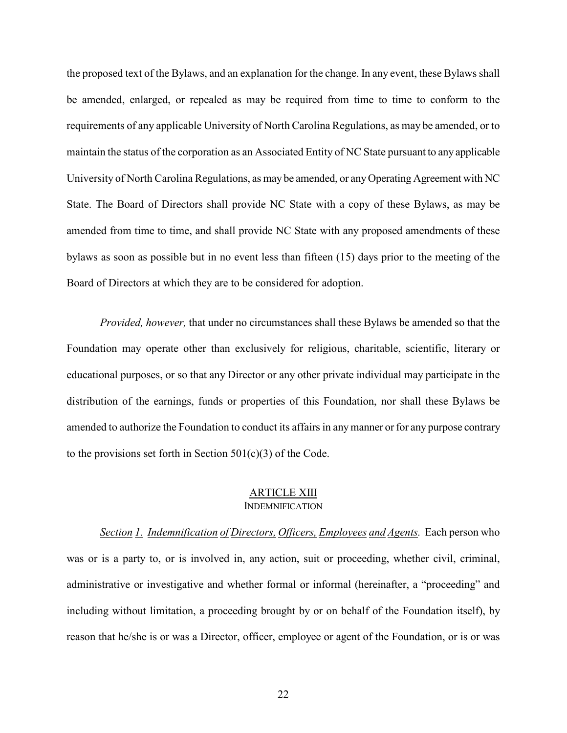the proposed text of the Bylaws, and an explanation for the change. In any event, these Bylaws shall be amended, enlarged, or repealed as may be required from time to time to conform to the requirements of any applicable University of North Carolina Regulations, as may be amended, or to maintain the status of the corporation as an Associated Entity of NC State pursuant to any applicable University of North Carolina Regulations, as may be amended, or any Operating Agreement with NC State. The Board of Directors shall provide NC State with a copy of these Bylaws, as may be amended from time to time, and shall provide NC State with any proposed amendments of these bylaws as soon as possible but in no event less than fifteen (15) days prior to the meeting of the Board of Directors at which they are to be considered for adoption.

*Provided, however,* that under no circumstances shall these Bylaws be amended so that the Foundation may operate other than exclusively for religious, charitable, scientific, literary or educational purposes, or so that any Director or any other private individual may participate in the distribution of the earnings, funds or properties of this Foundation, nor shall these Bylaws be amended to authorize the Foundation to conduct its affairs in any manner or for any purpose contrary to the provisions set forth in Section  $501(c)(3)$  of the Code.

#### ARTICLE XIII INDEMNIFICATION

*Section 1. Indemnification of Directors, Officers, Employees and Agents.* Each person who was or is a party to, or is involved in, any action, suit or proceeding, whether civil, criminal, administrative or investigative and whether formal or informal (hereinafter, a "proceeding" and including without limitation, a proceeding brought by or on behalf of the Foundation itself), by reason that he/she is or was a Director, officer, employee or agent of the Foundation, or is or was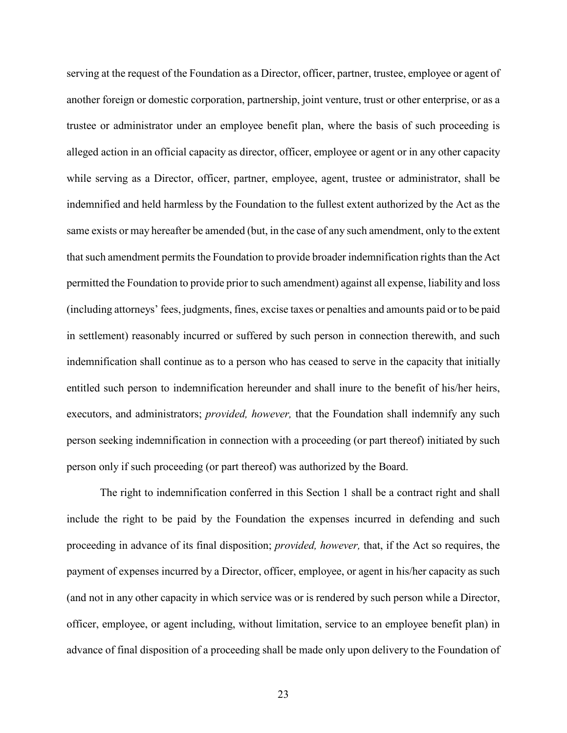serving at the request of the Foundation as a Director, officer, partner, trustee, employee or agent of another foreign or domestic corporation, partnership, joint venture, trust or other enterprise, or as a trustee or administrator under an employee benefit plan, where the basis of such proceeding is alleged action in an official capacity as director, officer, employee or agent or in any other capacity while serving as a Director, officer, partner, employee, agent, trustee or administrator, shall be indemnified and held harmless by the Foundation to the fullest extent authorized by the Act as the same exists or may hereafter be amended (but, in the case of any such amendment, only to the extent that such amendment permits the Foundation to provide broader indemnification rights than the Act permitted the Foundation to provide prior to such amendment) against all expense, liability and loss (including attorneys' fees, judgments, fines, excise taxes or penalties and amounts paid or to be paid in settlement) reasonably incurred or suffered by such person in connection therewith, and such indemnification shall continue as to a person who has ceased to serve in the capacity that initially entitled such person to indemnification hereunder and shall inure to the benefit of his/her heirs, executors, and administrators; *provided, however,* that the Foundation shall indemnify any such person seeking indemnification in connection with a proceeding (or part thereof) initiated by such person only if such proceeding (or part thereof) was authorized by the Board.

The right to indemnification conferred in this Section 1 shall be a contract right and shall include the right to be paid by the Foundation the expenses incurred in defending and such proceeding in advance of its final disposition; *provided, however,* that, if the Act so requires, the payment of expenses incurred by a Director, officer, employee, or agent in his/her capacity as such (and not in any other capacity in which service was or is rendered by such person while a Director, officer, employee, or agent including, without limitation, service to an employee benefit plan) in advance of final disposition of a proceeding shall be made only upon delivery to the Foundation of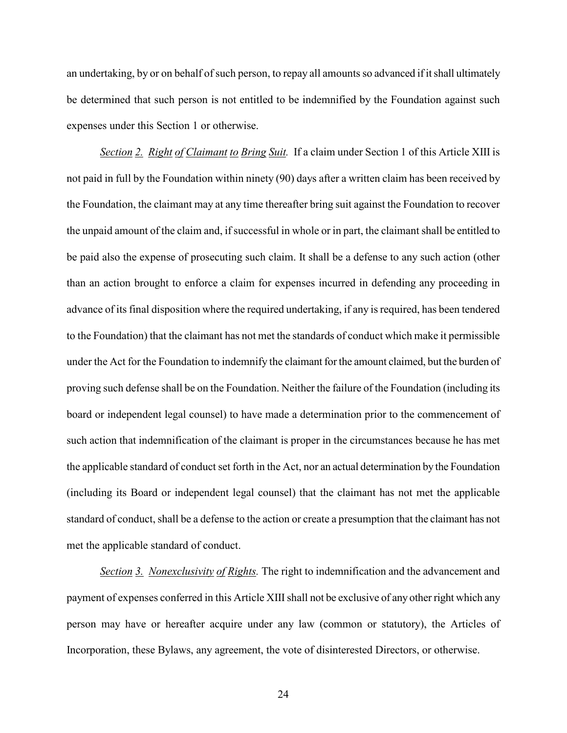an undertaking, by or on behalf of such person, to repay all amounts so advanced if it shall ultimately be determined that such person is not entitled to be indemnified by the Foundation against such expenses under this Section 1 or otherwise.

*Section 2. Right of Claimant to Bring Suit.* If a claim under Section 1 of this Article XIII is not paid in full by the Foundation within ninety (90) days after a written claim has been received by the Foundation, the claimant may at any time thereafter bring suit against the Foundation to recover the unpaid amount of the claim and, if successful in whole or in part, the claimant shall be entitled to be paid also the expense of prosecuting such claim. It shall be a defense to any such action (other than an action brought to enforce a claim for expenses incurred in defending any proceeding in advance of its final disposition where the required undertaking, if any is required, has been tendered to the Foundation) that the claimant has not met the standards of conduct which make it permissible under the Act for the Foundation to indemnify the claimant for the amount claimed, but the burden of proving such defense shall be on the Foundation. Neither the failure of the Foundation (including its board or independent legal counsel) to have made a determination prior to the commencement of such action that indemnification of the claimant is proper in the circumstances because he has met the applicable standard of conduct set forth in the Act, nor an actual determination by the Foundation (including its Board or independent legal counsel) that the claimant has not met the applicable standard of conduct, shall be a defense to the action or create a presumption that the claimant has not met the applicable standard of conduct.

*Section 3. Nonexclusivity of Rights.* The right to indemnification and the advancement and payment of expenses conferred in this Article XIII shall not be exclusive of any other right which any person may have or hereafter acquire under any law (common or statutory), the Articles of Incorporation, these Bylaws, any agreement, the vote of disinterested Directors, or otherwise.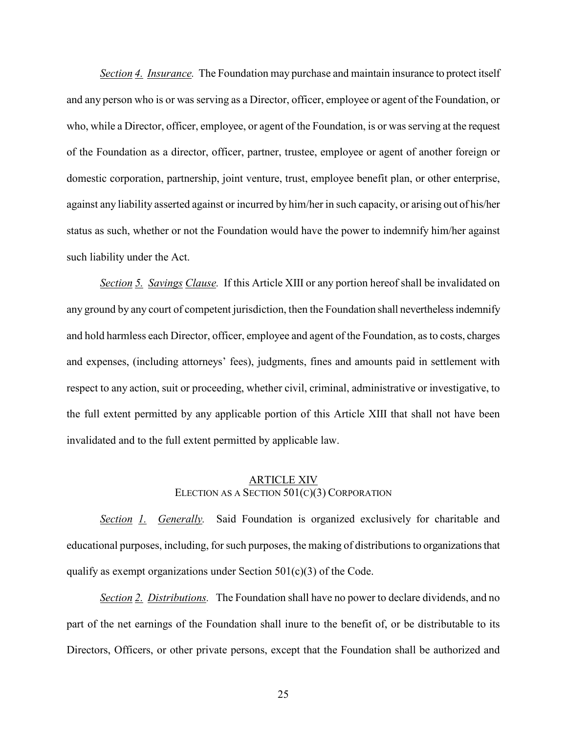*Section 4. Insurance.* The Foundation may purchase and maintain insurance to protect itself and any person who is or was serving as a Director, officer, employee or agent of the Foundation, or who, while a Director, officer, employee, or agent of the Foundation, is or was serving at the request of the Foundation as a director, officer, partner, trustee, employee or agent of another foreign or domestic corporation, partnership, joint venture, trust, employee benefit plan, or other enterprise, against any liability asserted against or incurred by him/her in such capacity, or arising out of his/her status as such, whether or not the Foundation would have the power to indemnify him/her against such liability under the Act.

*Section 5. Savings Clause.* If this Article XIII or any portion hereof shall be invalidated on any ground by any court of competent jurisdiction, then the Foundation shall nevertheless indemnify and hold harmless each Director, officer, employee and agent of the Foundation, as to costs, charges and expenses, (including attorneys' fees), judgments, fines and amounts paid in settlement with respect to any action, suit or proceeding, whether civil, criminal, administrative or investigative, to the full extent permitted by any applicable portion of this Article XIII that shall not have been invalidated and to the full extent permitted by applicable law.

#### ARTICLE XIV ELECTION AS A SECTION 501(C)(3) CORPORATION

*Section 1. Generally.* Said Foundation is organized exclusively for charitable and educational purposes, including, for such purposes, the making of distributions to organizations that qualify as exempt organizations under Section  $501(c)(3)$  of the Code.

*Section 2. Distributions.* The Foundation shall have no power to declare dividends, and no part of the net earnings of the Foundation shall inure to the benefit of, or be distributable to its Directors, Officers, or other private persons, except that the Foundation shall be authorized and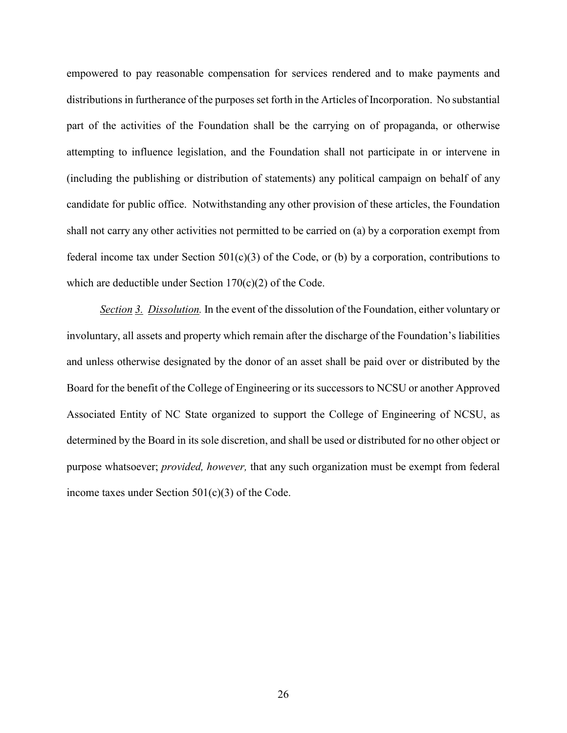empowered to pay reasonable compensation for services rendered and to make payments and distributions in furtherance of the purposes set forth in the Articles of Incorporation. No substantial part of the activities of the Foundation shall be the carrying on of propaganda, or otherwise attempting to influence legislation, and the Foundation shall not participate in or intervene in (including the publishing or distribution of statements) any political campaign on behalf of any candidate for public office. Notwithstanding any other provision of these articles, the Foundation shall not carry any other activities not permitted to be carried on (a) by a corporation exempt from federal income tax under Section  $501(c)(3)$  of the Code, or (b) by a corporation, contributions to which are deductible under Section 170(c)(2) of the Code.

*Section 3. Dissolution.* In the event of the dissolution of the Foundation, either voluntary or involuntary, all assets and property which remain after the discharge of the Foundation's liabilities and unless otherwise designated by the donor of an asset shall be paid over or distributed by the Board for the benefit of the College of Engineering or its successors to NCSU or another Approved Associated Entity of NC State organized to support the College of Engineering of NCSU, as determined by the Board in its sole discretion, and shall be used or distributed for no other object or purpose whatsoever; *provided, however,* that any such organization must be exempt from federal income taxes under Section  $501(c)(3)$  of the Code.